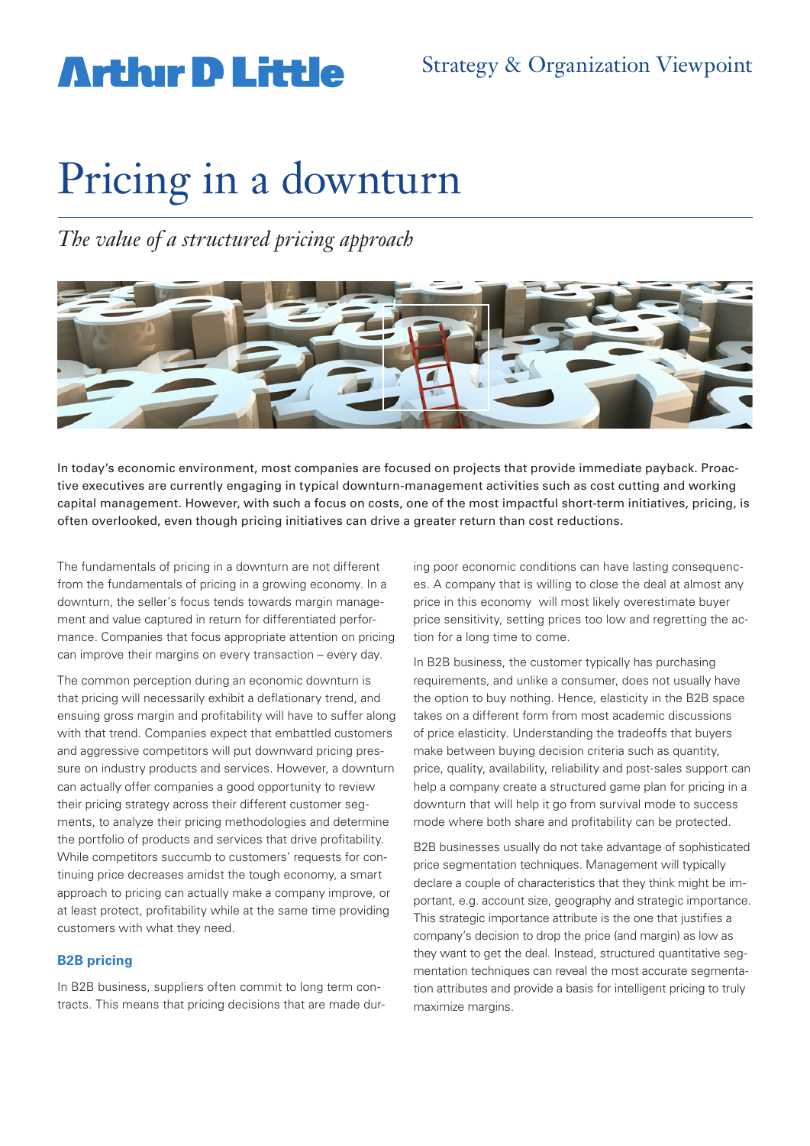## **Artlur D Little**

# Pricing in a downturn

*The value of a structured pricing approach*



In today's economic environment, most companies are focused on projects that provide immediate payback. Proactive executives are currently engaging in typical downturn-management activities such as cost cutting and working capital management. However, with such a focus on costs, one of the most impactful short-term initiatives, pricing, is often overlooked, even though pricing initiatives can drive a greater return than cost reductions.

The fundamentals of pricing in a downturn are not different from the fundamentals of pricing in a growing economy. In a downturn, the seller's focus tends towards margin management and value captured in return for differentiated performance. Companies that focus appropriate attention on pricing can improve their margins on every transaction – every day.

The common perception during an economic downturn is that pricing will necessarily exhibit a deflationary trend, and ensuing gross margin and profitability will have to suffer along with that trend. Companies expect that embattled customers and aggressive competitors will put downward pricing pressure on industry products and services. However, a downturn can actually offer companies a good opportunity to review their pricing strategy across their different customer segments, to analyze their pricing methodologies and determine the portfolio of products and services that drive profitability. While competitors succumb to customers' requests for continuing price decreases amidst the tough economy, a smart approach to pricing can actually make a company improve, or at least protect, profitability while at the same time providing customers with what they need.

## **B2B pricing**

In B2B business, suppliers often commit to long term contracts. This means that pricing decisions that are made during poor economic conditions can have lasting consequences. A company that is willing to close the deal at almost any price in this economy will most likely overestimate buyer price sensitivity, setting prices too low and regretting the action for a long time to come.

In B2B business, the customer typically has purchasing requirements, and unlike a consumer, does not usually have the option to buy nothing. Hence, elasticity in the B2B space takes on a different form from most academic discussions of price elasticity. Understanding the tradeoffs that buyers make between buying decision criteria such as quantity, price, quality, availability, reliability and post-sales support can help a company create a structured game plan for pricing in a downturn that will help it go from survival mode to success mode where both share and profitability can be protected.

B2B businesses usually do not take advantage of sophisticated price segmentation techniques. Management will typically declare a couple of characteristics that they think might be important, e.g. account size, geography and strategic importance. This strategic importance attribute is the one that justifies a company's decision to drop the price (and margin) as low as they want to get the deal. Instead, structured quantitative segmentation techniques can reveal the most accurate segmentation attributes and provide a basis for intelligent pricing to truly maximize margins.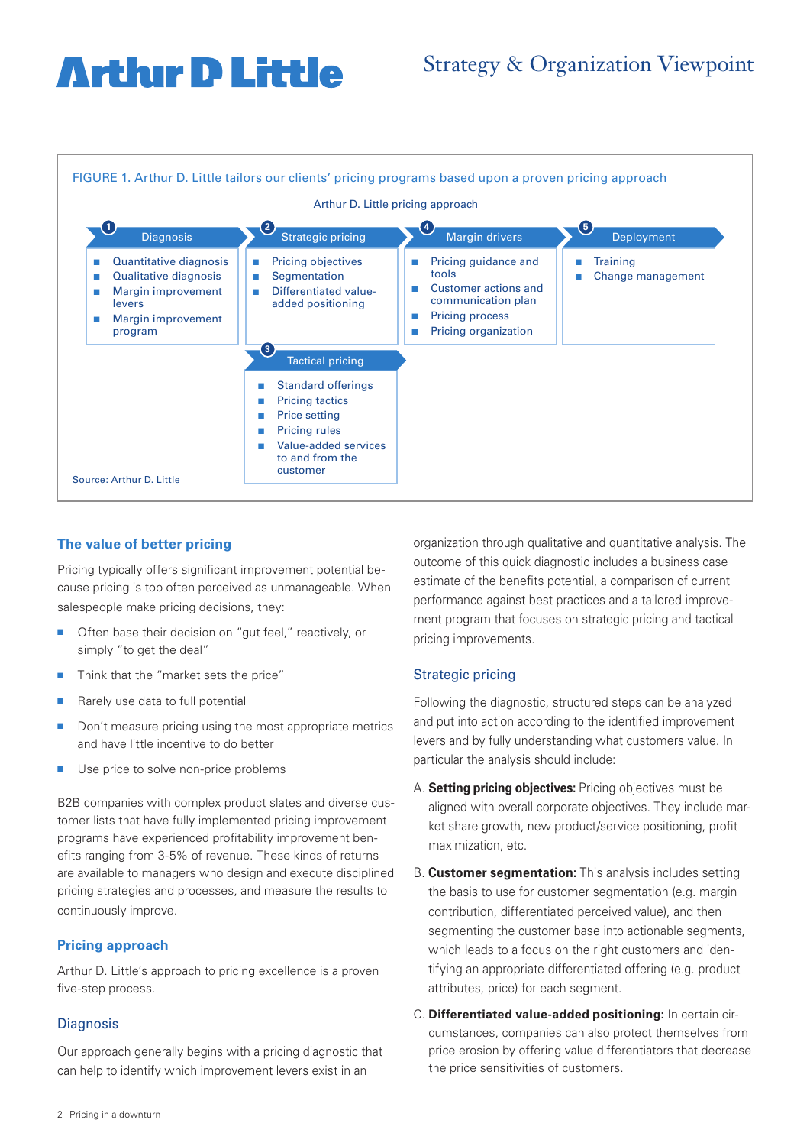## **Arthur D Little**

## Strategy & Organization Viewpoint



## **The value of better pricing**

Pricing typically offers significant improvement potential because pricing is too often perceived as unmanageable. When salespeople make pricing decisions, they:

- Often base their decision on "gut feel," reactively, or simply "to get the deal"
- **n** Think that the "market sets the price"
- $\blacksquare$  Rarely use data to full potential
- $\blacksquare$  Don't measure pricing using the most appropriate metrics and have little incentive to do better
- **n** Use price to solve non-price problems

B2B companies with complex product slates and diverse customer lists that have fully implemented pricing improvement programs have experienced profitability improvement benefits ranging from 3-5% of revenue. These kinds of returns are available to managers who design and execute disciplined pricing strategies and processes, and measure the results to continuously improve.

## **Pricing approach**

Arthur D. Little's approach to pricing excellence is a proven five-step process.

## **Diagnosis**

Our approach generally begins with a pricing diagnostic that can help to identify which improvement levers exist in an

organization through qualitative and quantitative analysis. The outcome of this quick diagnostic includes a business case estimate of the benefits potential, a comparison of current performance against best practices and a tailored improvement program that focuses on strategic pricing and tactical pricing improvements.

## Strategic pricing

Following the diagnostic, structured steps can be analyzed and put into action according to the identified improvement levers and by fully understanding what customers value. In particular the analysis should include:

- A. **Setting pricing objectives:** Pricing objectives must be aligned with overall corporate objectives. They include market share growth, new product/service positioning, profit maximization, etc.
- B. **Customer segmentation:** This analysis includes setting the basis to use for customer segmentation (e.g. margin contribution, differentiated perceived value), and then segmenting the customer base into actionable segments, which leads to a focus on the right customers and identifying an appropriate differentiated offering (e.g. product attributes, price) for each segment.
- C. **Differentiated value-added positioning:** In certain circumstances, companies can also protect themselves from price erosion by offering value differentiators that decrease the price sensitivities of customers.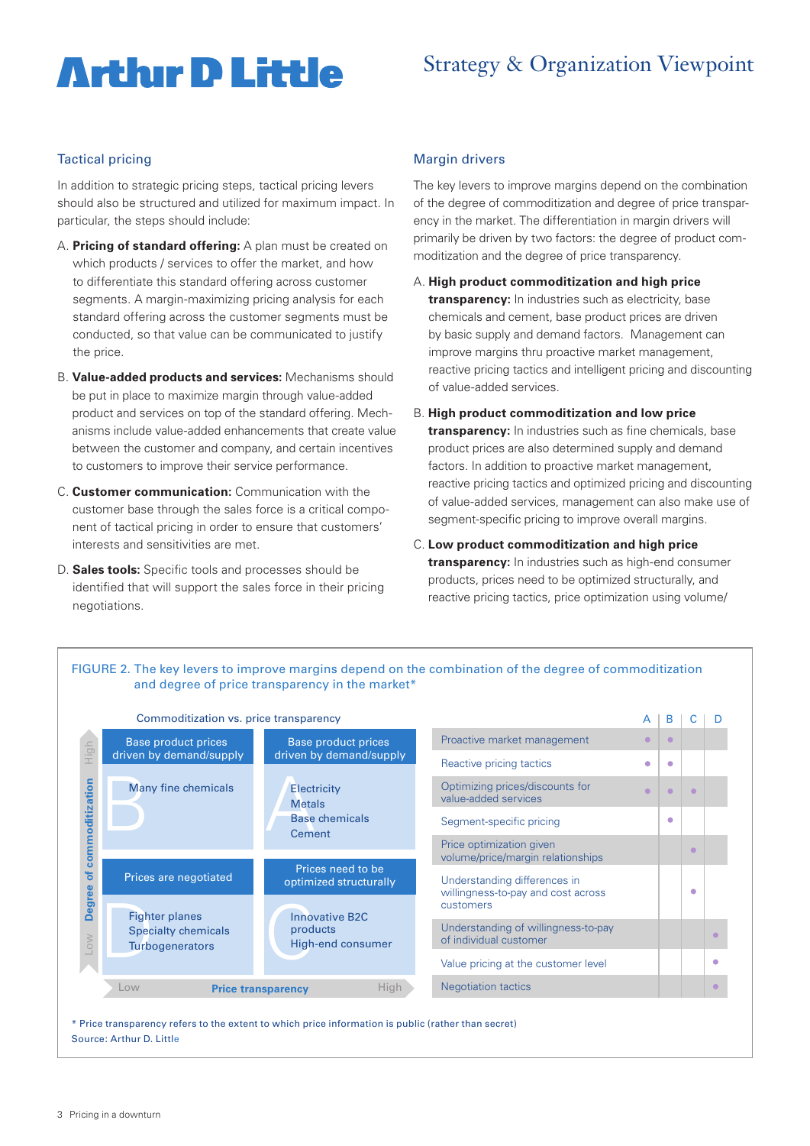## **Arthur D Little**

## Strategy & Organization Viewpoint

## Tactical pricing

In addition to strategic pricing steps, tactical pricing levers should also be structured and utilized for maximum impact. In particular, the steps should include:

- A. **Pricing of standard offering:** A plan must be created on which products / services to offer the market, and how to differentiate this standard offering across customer segments. A margin-maximizing pricing analysis for each standard offering across the customer segments must be conducted, so that value can be communicated to justify the price.
- B. **Value-added products and services:** Mechanisms should be put in place to maximize margin through value-added product and services on top of the standard offering. Mechanisms include value-added enhancements that create value between the customer and company, and certain incentives to customers to improve their service performance.
- C. **Customer communication:** Communication with the customer base through the sales force is a critical component of tactical pricing in order to ensure that customers' interests and sensitivities are met.
- D. **Sales tools:** Specific tools and processes should be identified that will support the sales force in their pricing negotiations.

#### Margin drivers

The key levers to improve margins depend on the combination of the degree of commoditization and degree of price transparency in the market. The differentiation in margin drivers will primarily be driven by two factors: the degree of product commoditization and the degree of price transparency.

- A. **High product commoditization and high price transparency:** In industries such as electricity, base chemicals and cement, base product prices are driven by basic supply and demand factors. Management can improve margins thru proactive market management, reactive pricing tactics and intelligent pricing and discounting of value-added services.
- B. **High product commoditization and low price transparency:** In industries such as fine chemicals, base product prices are also determined supply and demand factors. In addition to proactive market management, reactive pricing tactics and optimized pricing and discounting of value-added services, management can also make use of segment-specific pricing to improve overall margins.
- C. **Low product commoditization and high price transparency:** In industries such as high-end consumer products, prices need to be optimized structurally, and reactive pricing tactics, price optimization using volume/



FIGURE 2. The key levers to improve margins depend on the combination of the degree of commoditization

Source: Arthur D. Little